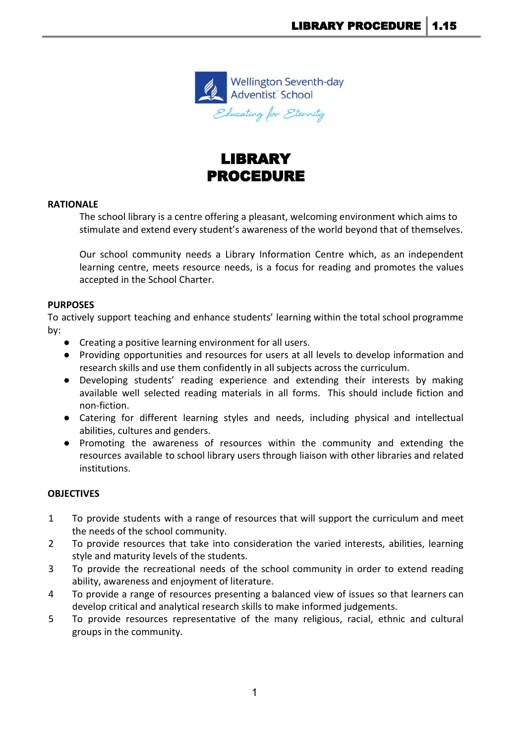

# LIBRARY PROCEDURE

## **RATIONALE**

The school library is a centre offering a pleasant, welcoming environment which aims to stimulate and extend every student's awareness of the world beyond that of themselves.

Our school community needs a Library Information Centre which, as an independent learning centre, meets resource needs, is a focus for reading and promotes the values accepted in the School Charter.

# **PURPOSES**

To actively support teaching and enhance students' learning within the total school programme by:

- Creating a positive learning environment for all users.
- Providing opportunities and resources for users at all levels to develop information and research skills and use them confidently in all subjects across the curriculum.
- Developing students' reading experience and extending their interests by making available well selected reading materials in all forms. This should include fiction and non-fiction.
- Catering for different learning styles and needs, including physical and intellectual abilities, cultures and genders.
- Promoting the awareness of resources within the community and extending the resources available to school library users through liaison with other libraries and related institutions.

# **OBJECTIVES**

- 1 To provide students with a range of resources that will support the curriculum and meet the needs of the school community.
- 2 To provide resources that take into consideration the varied interests, abilities, learning style and maturity levels of the students.
- 3 To provide the recreational needs of the school community in order to extend reading ability, awareness and enjoyment of literature.
- 4 To provide a range of resources presenting a balanced view of issues so that learners can develop critical and analytical research skills to make informed judgements.
- 5 To provide resources representative of the many religious, racial, ethnic and cultural groups in the community.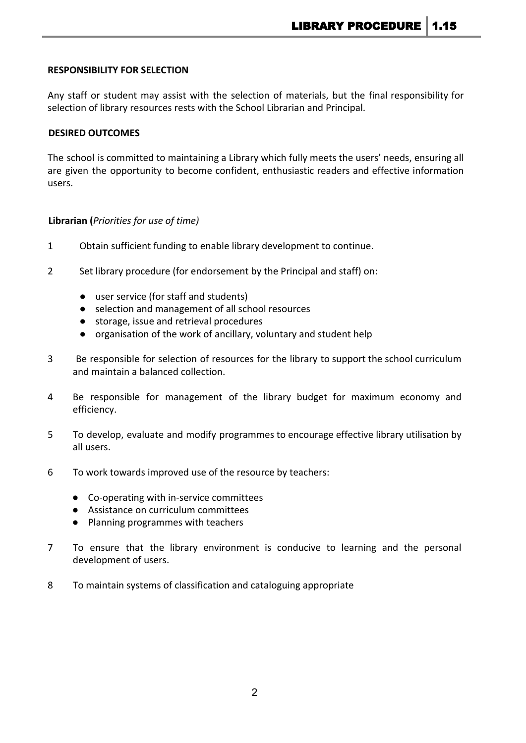## **RESPONSIBILITY FOR SELECTION**

Any staff or student may assist with the selection of materials, but the final responsibility for selection of library resources rests with the School Librarian and Principal.

#### **DESIRED OUTCOMES**

The school is committed to maintaining a Library which fully meets the users' needs, ensuring all are given the opportunity to become confident, enthusiastic readers and effective information users.

## **Librarian (***Priorities for use of time)*

- 1 Obtain sufficient funding to enable library development to continue.
- 2 Set library procedure (for endorsement by the Principal and staff) on:
	- user service (for staff and students)
	- selection and management of all school resources
	- storage, issue and retrieval procedures
	- organisation of the work of ancillary, voluntary and student help
- 3 Be responsible for selection of resources for the library to support the school curriculum and maintain a balanced collection.
- 4 Be responsible for management of the library budget for maximum economy and efficiency.
- 5 To develop, evaluate and modify programmes to encourage effective library utilisation by all users.
- 6 To work towards improved use of the resource by teachers:
	- Co-operating with in-service committees
	- Assistance on curriculum committees
	- Planning programmes with teachers
- 7 To ensure that the library environment is conducive to learning and the personal development of users.
- 8 To maintain systems of classification and cataloguing appropriate